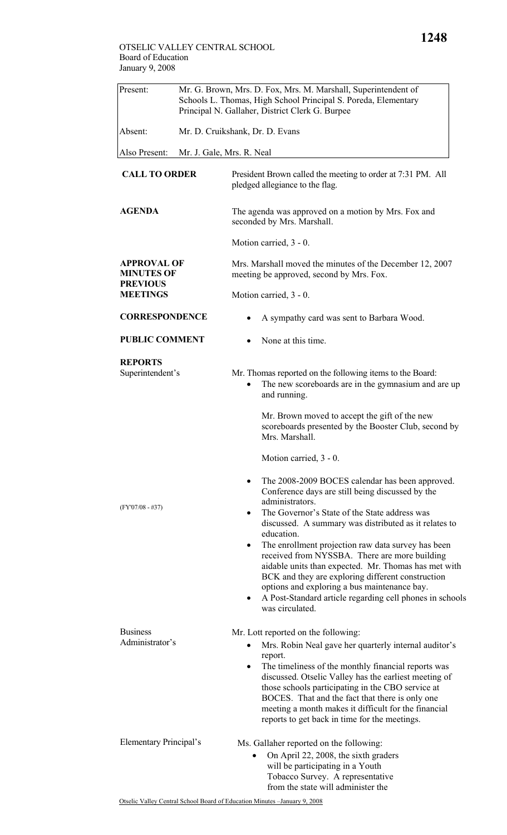| Present:                                                                      | Mr. G. Brown, Mrs. D. Fox, Mrs. M. Marshall, Superintendent of<br>Schools L. Thomas, High School Principal S. Poreda, Elementary<br>Principal N. Gallaher, District Clerk G. Burpee |                                                                                                                                                                                                                                                                                                                                                                                                                                                                                                      |  |  |
|-------------------------------------------------------------------------------|-------------------------------------------------------------------------------------------------------------------------------------------------------------------------------------|------------------------------------------------------------------------------------------------------------------------------------------------------------------------------------------------------------------------------------------------------------------------------------------------------------------------------------------------------------------------------------------------------------------------------------------------------------------------------------------------------|--|--|
| Absent:                                                                       |                                                                                                                                                                                     | Mr. D. Cruikshank, Dr. D. Evans                                                                                                                                                                                                                                                                                                                                                                                                                                                                      |  |  |
| Also Present:                                                                 | Mr. J. Gale, Mrs. R. Neal                                                                                                                                                           |                                                                                                                                                                                                                                                                                                                                                                                                                                                                                                      |  |  |
| <b>CALL TO ORDER</b>                                                          |                                                                                                                                                                                     | President Brown called the meeting to order at 7:31 PM. All<br>pledged allegiance to the flag.                                                                                                                                                                                                                                                                                                                                                                                                       |  |  |
| <b>AGENDA</b>                                                                 |                                                                                                                                                                                     | The agenda was approved on a motion by Mrs. Fox and<br>seconded by Mrs. Marshall.                                                                                                                                                                                                                                                                                                                                                                                                                    |  |  |
|                                                                               |                                                                                                                                                                                     | Motion carried, 3 - 0.                                                                                                                                                                                                                                                                                                                                                                                                                                                                               |  |  |
| <b>APPROVAL OF</b><br><b>MINUTES OF</b><br><b>PREVIOUS</b><br><b>MEETINGS</b> |                                                                                                                                                                                     | Mrs. Marshall moved the minutes of the December 12, 2007<br>meeting be approved, second by Mrs. Fox.                                                                                                                                                                                                                                                                                                                                                                                                 |  |  |
|                                                                               |                                                                                                                                                                                     | Motion carried, 3 - 0.                                                                                                                                                                                                                                                                                                                                                                                                                                                                               |  |  |
| <b>CORRESPONDENCE</b>                                                         |                                                                                                                                                                                     | A sympathy card was sent to Barbara Wood.                                                                                                                                                                                                                                                                                                                                                                                                                                                            |  |  |
| <b>PUBLIC COMMENT</b>                                                         |                                                                                                                                                                                     | None at this time.                                                                                                                                                                                                                                                                                                                                                                                                                                                                                   |  |  |
| <b>REPORTS</b><br>Superintendent's                                            |                                                                                                                                                                                     | Mr. Thomas reported on the following items to the Board:<br>The new scoreboards are in the gymnasium and are up<br>and running.<br>Mr. Brown moved to accept the gift of the new                                                                                                                                                                                                                                                                                                                     |  |  |
|                                                                               |                                                                                                                                                                                     | scoreboards presented by the Booster Club, second by<br>Mrs. Marshall.<br>Motion carried, 3 - 0.<br>The 2008-2009 BOCES calendar has been approved.<br>Conference days are still being discussed by the                                                                                                                                                                                                                                                                                              |  |  |
| $(FY'07/08 - #37)$                                                            |                                                                                                                                                                                     | administrators.<br>The Governor's State of the State address was<br>٠<br>discussed. A summary was distributed as it relates to<br>education.<br>The enrollment projection raw data survey has been<br>٠<br>received from NYSSBA. There are more building<br>aidable units than expected. Mr. Thomas has met with<br>BCK and they are exploring different construction<br>options and exploring a bus maintenance bay.<br>A Post-Standard article regarding cell phones in schools<br>was circulated. |  |  |
| <b>Business</b><br>Administrator's                                            |                                                                                                                                                                                     | Mr. Lott reported on the following:<br>Mrs. Robin Neal gave her quarterly internal auditor's<br>report.<br>The timeliness of the monthly financial reports was<br>٠<br>discussed. Otselic Valley has the earliest meeting of<br>those schools participating in the CBO service at<br>BOCES. That and the fact that there is only one<br>meeting a month makes it difficult for the financial<br>reports to get back in time for the meetings.                                                        |  |  |
| Elementary Principal's                                                        |                                                                                                                                                                                     | Ms. Gallaher reported on the following:<br>On April 22, 2008, the sixth graders<br>$\bullet$<br>will be participating in a Youth<br>Tobacco Survey. A representative<br>from the state will administer the                                                                                                                                                                                                                                                                                           |  |  |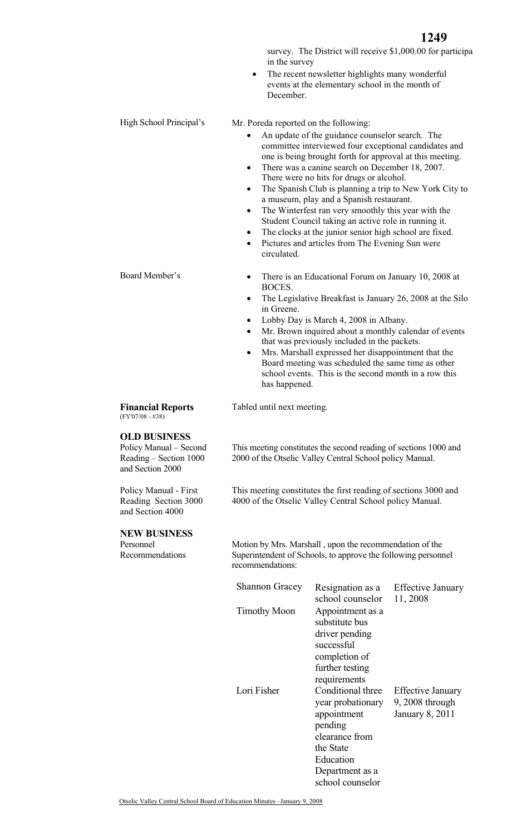survey. The District will receive \$1,000.00 for participa in the survey

The recent newsletter highlights many wonderful events at the elementary school in the month of December.

High School Principal's

Mr. Poreda reported on the following:

- An update of the guidance counselor search. The committee interviewed four exceptional candidates and one is being brought forth for approval at this meeting.
- There was a canine search on December 18, 2007. There were no hits for drugs or alcohol.
- The Spanish Club is planning a trip to New York City to a museum, play and a Spanish restaurant.
- The Winterfest ran very smoothly this year with the Student Council taking an active role in running it.
- The clocks at the junior senior high school are fixed.
- Pictures and articles from The Evening Sun were circulated.
- Board Member's There is an Educational Forum on January 10, 2008 at BOCES.
	- The Legislative Breakfast is January 26, 2008 at the Silo in Greene.
	- Lobby Day is March 4, 2008 in Albany.
	- Mr. Brown inquired about a monthly calendar of events that was previously included in the packets.
	- Mrs. Marshall expressed her disappointment that the Board meeting was scheduled the same time as other school events. This is the second month in a row this has happened.

Tabled until next meeting.

 This meeting constitutes the second reading of sections 1000 and 2000 of the Otselic Valley Central School policy Manual.

This meeting constitutes the first reading of sections 3000 and 4000 of the Otselic Valley Central School policy Manual.

 Motion by Mrs. Marshall , upon the recommendation of the Superintendent of Schools, to approve the following personnel recommendations:

| <b>Shannon Gracey</b> | Resignation as a<br>school counselor                                                                                                                | <b>Effective January</b><br>11, 2008                           |
|-----------------------|-----------------------------------------------------------------------------------------------------------------------------------------------------|----------------------------------------------------------------|
| <b>Timothy Moon</b>   | Appointment as a<br>substitute bus<br>driver pending<br>successful<br>completion of<br>further testing<br>requirements                              |                                                                |
| Lori Fisher           | Conditional three<br>year probationary<br>appointment<br>pending<br>clearance from<br>the State<br>Education<br>Department as a<br>school counselor | <b>Effective January</b><br>9, 2008 through<br>January 8, 2011 |

## **Financial Reports**  (FY'07/08 - #38)

## **OLD BUSINESS**

Policy Manual – Second Reading – Section 1000 and Section 2000

Policy Manual - First Reading Section 3000 and Section 4000

## **NEW BUSINESS**

Personnel Recommendations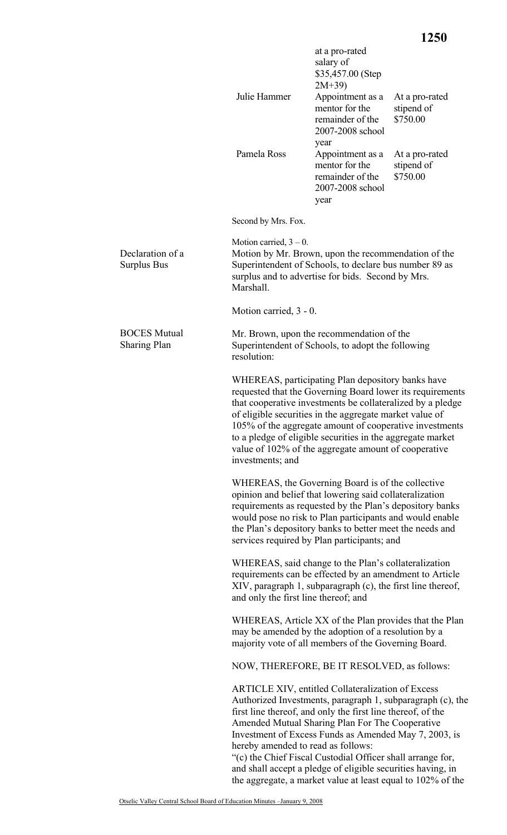|                                            | Julie Hammer<br>Pamela Ross                                                                                                                                                                                                                                                                                                                                                                                                                  | at a pro-rated<br>salary of<br>\$35,457.00 (Step<br>$2M+39$<br>Appointment as a<br>mentor for the<br>remainder of the<br>2007-2008 school<br>year<br>Appointment as a<br>mentor for the<br>remainder of the<br>2007-2008 school<br>year                                                                                                                                                                                        | At a pro-rated<br>stipend of<br>\$750.00<br>At a pro-rated<br>stipend of<br>\$750.00 |  |
|--------------------------------------------|----------------------------------------------------------------------------------------------------------------------------------------------------------------------------------------------------------------------------------------------------------------------------------------------------------------------------------------------------------------------------------------------------------------------------------------------|--------------------------------------------------------------------------------------------------------------------------------------------------------------------------------------------------------------------------------------------------------------------------------------------------------------------------------------------------------------------------------------------------------------------------------|--------------------------------------------------------------------------------------|--|
|                                            | Second by Mrs. Fox.                                                                                                                                                                                                                                                                                                                                                                                                                          |                                                                                                                                                                                                                                                                                                                                                                                                                                |                                                                                      |  |
| Declaration of a<br><b>Surplus Bus</b>     | Motion carried, $3 - 0$ .<br>Marshall.                                                                                                                                                                                                                                                                                                                                                                                                       | Motion by Mr. Brown, upon the recommendation of the<br>Superintendent of Schools, to declare bus number 89 as<br>surplus and to advertise for bids. Second by Mrs.                                                                                                                                                                                                                                                             |                                                                                      |  |
|                                            | Motion carried, 3 - 0.                                                                                                                                                                                                                                                                                                                                                                                                                       |                                                                                                                                                                                                                                                                                                                                                                                                                                |                                                                                      |  |
| <b>BOCES</b> Mutual<br><b>Sharing Plan</b> | resolution:                                                                                                                                                                                                                                                                                                                                                                                                                                  | Mr. Brown, upon the recommendation of the<br>Superintendent of Schools, to adopt the following                                                                                                                                                                                                                                                                                                                                 |                                                                                      |  |
|                                            | WHEREAS, participating Plan depository banks have<br>requested that the Governing Board lower its requirements<br>that cooperative investments be collateralized by a pledge<br>of eligible securities in the aggregate market value of<br>105% of the aggregate amount of cooperative investments<br>to a pledge of eligible securities in the aggregate market<br>value of 102% of the aggregate amount of cooperative<br>investments; and |                                                                                                                                                                                                                                                                                                                                                                                                                                |                                                                                      |  |
|                                            |                                                                                                                                                                                                                                                                                                                                                                                                                                              | WHEREAS, the Governing Board is of the collective<br>opinion and belief that lowering said collateralization<br>requirements as requested by the Plan's depository banks<br>would pose no risk to Plan participants and would enable<br>the Plan's depository banks to better meet the needs and<br>services required by Plan participants; and                                                                                |                                                                                      |  |
|                                            | and only the first line thereof; and                                                                                                                                                                                                                                                                                                                                                                                                         | WHEREAS, said change to the Plan's collateralization<br>requirements can be effected by an amendment to Article<br>XIV, paragraph 1, subparagraph (c), the first line thereof,                                                                                                                                                                                                                                                 |                                                                                      |  |
|                                            |                                                                                                                                                                                                                                                                                                                                                                                                                                              | WHEREAS, Article XX of the Plan provides that the Plan<br>may be amended by the adoption of a resolution by a<br>majority vote of all members of the Governing Board.                                                                                                                                                                                                                                                          |                                                                                      |  |
|                                            |                                                                                                                                                                                                                                                                                                                                                                                                                                              | NOW, THEREFORE, BE IT RESOLVED, as follows:                                                                                                                                                                                                                                                                                                                                                                                    |                                                                                      |  |
|                                            | hereby amended to read as follows:                                                                                                                                                                                                                                                                                                                                                                                                           | <b>ARTICLE XIV, entitled Collateralization of Excess</b><br>Authorized Investments, paragraph 1, subparagraph (c), the<br>first line thereof, and only the first line thereof, of the<br>Amended Mutual Sharing Plan For The Cooperative<br>Investment of Excess Funds as Amended May 7, 2003, is<br>"(c) the Chief Fiscal Custodial Officer shall arrange for,<br>and shall accept a pledge of eligible securities having, in |                                                                                      |  |

the aggregate, a market value at least equal to 102% of the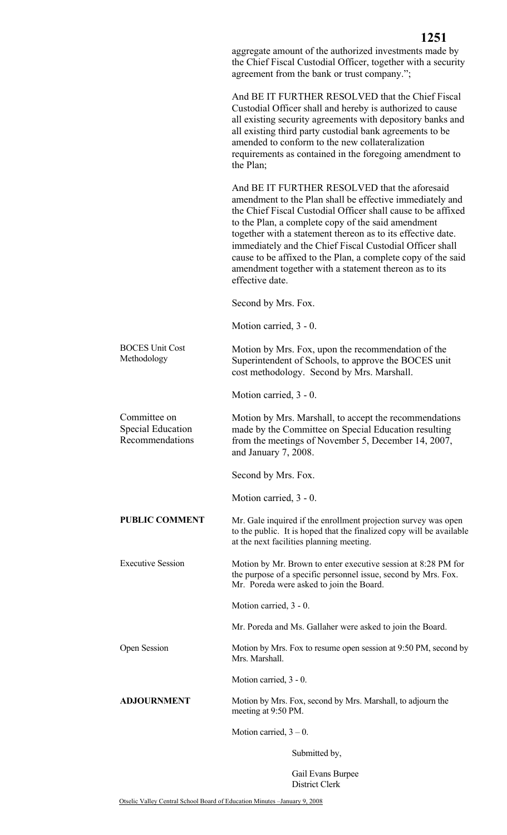|                                                      | aggregate amount of the authorized investments made by<br>the Chief Fiscal Custodial Officer, together with a security<br>agreement from the bank or trust company.";                                                                                                                                                                                                                                                                                                                                  |
|------------------------------------------------------|--------------------------------------------------------------------------------------------------------------------------------------------------------------------------------------------------------------------------------------------------------------------------------------------------------------------------------------------------------------------------------------------------------------------------------------------------------------------------------------------------------|
|                                                      | And BE IT FURTHER RESOLVED that the Chief Fiscal<br>Custodial Officer shall and hereby is authorized to cause<br>all existing security agreements with depository banks and<br>all existing third party custodial bank agreements to be<br>amended to conform to the new collateralization<br>requirements as contained in the foregoing amendment to<br>the Plan;                                                                                                                                     |
|                                                      | And BE IT FURTHER RESOLVED that the aforesaid<br>amendment to the Plan shall be effective immediately and<br>the Chief Fiscal Custodial Officer shall cause to be affixed<br>to the Plan, a complete copy of the said amendment<br>together with a statement thereon as to its effective date.<br>immediately and the Chief Fiscal Custodial Officer shall<br>cause to be affixed to the Plan, a complete copy of the said<br>amendment together with a statement thereon as to its<br>effective date. |
|                                                      | Second by Mrs. Fox.                                                                                                                                                                                                                                                                                                                                                                                                                                                                                    |
|                                                      | Motion carried, 3 - 0.                                                                                                                                                                                                                                                                                                                                                                                                                                                                                 |
| <b>BOCES Unit Cost</b><br>Methodology                | Motion by Mrs. Fox, upon the recommendation of the<br>Superintendent of Schools, to approve the BOCES unit<br>cost methodology. Second by Mrs. Marshall.                                                                                                                                                                                                                                                                                                                                               |
|                                                      | Motion carried, 3 - 0.                                                                                                                                                                                                                                                                                                                                                                                                                                                                                 |
| Committee on<br>Special Education<br>Recommendations | Motion by Mrs. Marshall, to accept the recommendations<br>made by the Committee on Special Education resulting<br>from the meetings of November 5, December 14, 2007,<br>and January 7, 2008.                                                                                                                                                                                                                                                                                                          |
|                                                      | Second by Mrs. Fox.                                                                                                                                                                                                                                                                                                                                                                                                                                                                                    |
|                                                      | Motion carried, 3 - 0.                                                                                                                                                                                                                                                                                                                                                                                                                                                                                 |
| <b>PUBLIC COMMENT</b>                                | Mr. Gale inquired if the enrollment projection survey was open<br>to the public. It is hoped that the finalized copy will be available<br>at the next facilities planning meeting.                                                                                                                                                                                                                                                                                                                     |
| <b>Executive Session</b>                             | Motion by Mr. Brown to enter executive session at 8:28 PM for<br>the purpose of a specific personnel issue, second by Mrs. Fox.<br>Mr. Poreda were asked to join the Board.                                                                                                                                                                                                                                                                                                                            |
|                                                      | Motion carried, 3 - 0.                                                                                                                                                                                                                                                                                                                                                                                                                                                                                 |
|                                                      | Mr. Poreda and Ms. Gallaher were asked to join the Board.                                                                                                                                                                                                                                                                                                                                                                                                                                              |
| Open Session                                         | Motion by Mrs. Fox to resume open session at 9:50 PM, second by<br>Mrs. Marshall.                                                                                                                                                                                                                                                                                                                                                                                                                      |
|                                                      | Motion carried, 3 - 0.                                                                                                                                                                                                                                                                                                                                                                                                                                                                                 |
| <b>ADJOURNMENT</b>                                   | Motion by Mrs. Fox, second by Mrs. Marshall, to adjourn the<br>meeting at 9:50 PM.                                                                                                                                                                                                                                                                                                                                                                                                                     |
|                                                      | Motion carried, $3 - 0$ .                                                                                                                                                                                                                                                                                                                                                                                                                                                                              |
|                                                      | Submitted by,                                                                                                                                                                                                                                                                                                                                                                                                                                                                                          |
|                                                      |                                                                                                                                                                                                                                                                                                                                                                                                                                                                                                        |

Gail Evans Burpee District Clerk